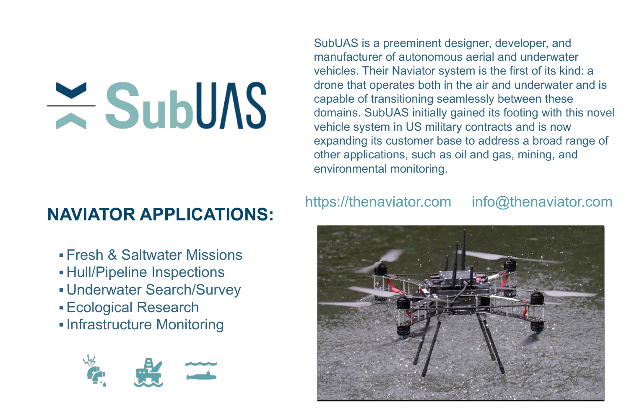SubUAS is a preeminent designer, developer, and manufacturer of autonomous aerial and underwater vehicles. Their Naviator system is the first of its kind: a drone that operates both in the air and underwater and is capable of transitioning seamlessly between these domains. SubUAS initially gained its footing with this novel vehicle system in US military contracts and is now expanding its customer base to address a broad range of other applications, such as oil and gas, mining, and environmental monitoring.

- Fresh & Saltwater Missions
- Hull/Pipeline Inspections
- Underwater Search/Survey
- ▪Ecological Research
- **<u>■Infrastructure Monitoring</u>**





# $\geq$  SubUAS

# **NAVIATOR APPLICATIONS:**

## https://thenaviator.com info@thenaviator.com